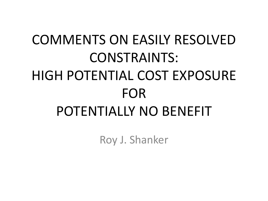## COMMENTS ON EASILY RESOLVED CONSTRAINTS: HIGH POTENTIAL COST EXPOSURE FOR POTENTIALLY NO BENEFIT

Roy J. Shanker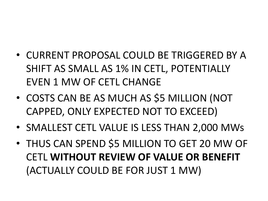- CURRENT PROPOSAL COULD BE TRIGGERED BY A SHIFT AS SMALL AS 1% IN CETL, POTENTIALLY EVEN 1 MW OF CETL CHANGE
- COSTS CAN BE AS MUCH AS \$5 MILLION (NOT CAPPED, ONLY EXPECTED NOT TO EXCEED)
- SMALLEST CETL VALUE IS LESS THAN 2,000 MWs
- THUS CAN SPEND \$5 MILLION TO GET 20 MW OF CETL **WITHOUT REVIEW OF VALUE OR BENEFIT**  (ACTUALLY COULD BE FOR JUST 1 MW)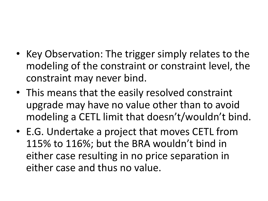- Key Observation: The trigger simply relates to the modeling of the constraint or constraint level, the constraint may never bind.
- This means that the easily resolved constraint upgrade may have no value other than to avoid modeling a CETL limit that doesn't/wouldn't bind.
- E.G. Undertake a project that moves CETL from 115% to 116%; but the BRA wouldn't bind in either case resulting in no price separation in either case and thus no value.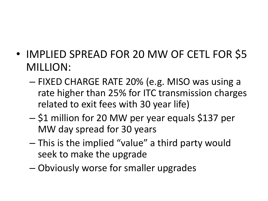- IMPLIED SPREAD FOR 20 MW OF CETL FOR \$5 MILLION:
	- FIXED CHARGE RATE 20% (e.g. MISO was using a rate higher than 25% for ITC transmission charges related to exit fees with 30 year life)
	- \$1 million for 20 MW per year equals \$137 per MW day spread for 30 years
	- This is the implied "value" a third party would seek to make the upgrade
	- Obviously worse for smaller upgrades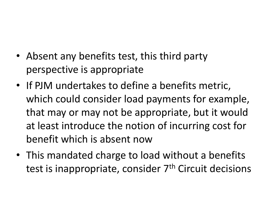- Absent any benefits test, this third party perspective is appropriate
- If PJM undertakes to define a benefits metric, which could consider load payments for example, that may or may not be appropriate, but it would at least introduce the notion of incurring cost for benefit which is absent now
- This mandated charge to load without a benefits test is inappropriate, consider 7<sup>th</sup> Circuit decisions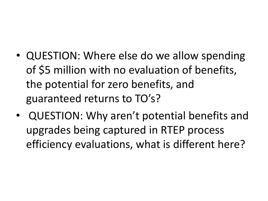- QUESTION: Where else do we allow spending of \$5 million with no evaluation of benefits, the potential for zero benefits, and guaranteed returns to TO's?
- QUESTION: Why aren't potential benefits and upgrades being captured in RTEP process efficiency evaluations, what is different here?